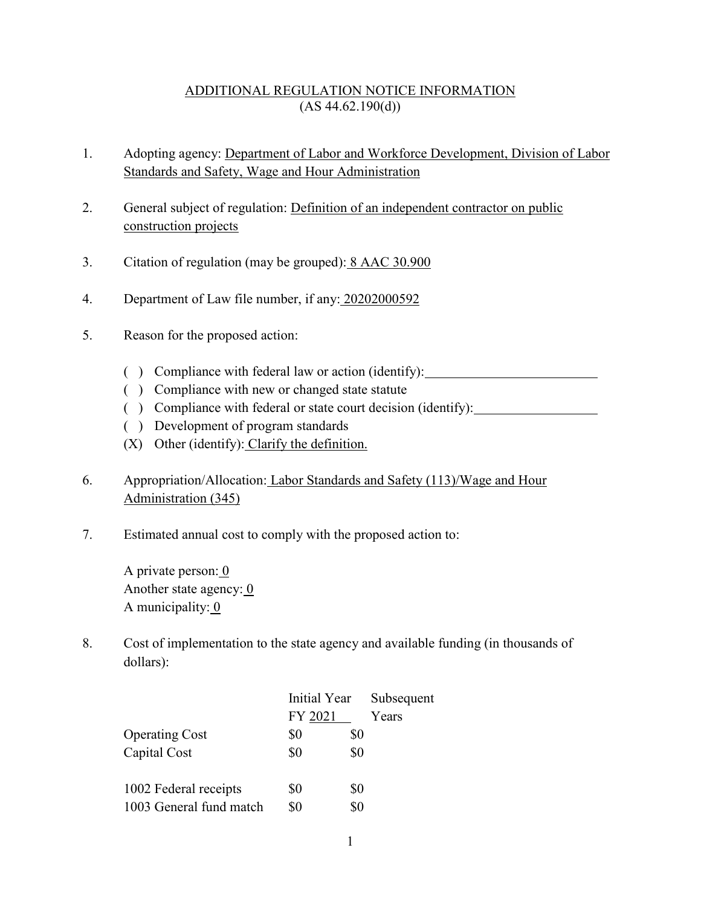## ADDITIONAL REGULATION NOTICE INFORMATION  $(AS 44.62.190(d))$

- 1. Adopting agency: Department of Labor and Workforce Development, Division of Labor Standards and Safety, Wage and Hour Administration
- 2. General subject of regulation: Definition of an independent contractor on public construction projects
- 3. Citation of regulation (may be grouped): 8 AAC 30.900
- 4. Department of Law file number, if any: 20202000592
- 5. Reason for the proposed action:
	- ( ) Compliance with federal law or action (identify):
	- ( ) Compliance with new or changed state statute
	- ( ) Compliance with federal or state court decision (identify):
	- ( ) Development of program standards
	- (X) Other (identify): Clarify the definition.
- 6. Appropriation/Allocation: Labor Standards and Safety (113)/Wage and Hour Administration (345)
- 7. Estimated annual cost to comply with the proposed action to:

A private person: 0 Another state agency:  $\overline{0}$ A municipality: 0

8. Cost of implementation to the state agency and available funding (in thousands of dollars):

|                         | Initial Year |     | Subsequent |
|-------------------------|--------------|-----|------------|
|                         | FY 2021      |     | Years      |
| <b>Operating Cost</b>   | \$0          | \$0 |            |
| Capital Cost            | \$0          | \$0 |            |
| 1002 Federal receipts   | \$0          | \$0 |            |
| 1003 General fund match | \$0          | \$0 |            |